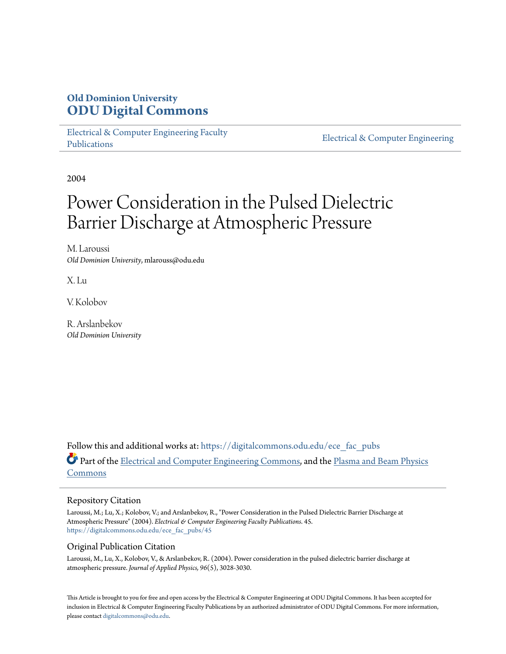# **Old Dominion University [ODU Digital Commons](https://digitalcommons.odu.edu?utm_source=digitalcommons.odu.edu%2Fece_fac_pubs%2F45&utm_medium=PDF&utm_campaign=PDFCoverPages)**

[Electrical & Computer Engineering Faculty](https://digitalcommons.odu.edu/ece_fac_pubs?utm_source=digitalcommons.odu.edu%2Fece_fac_pubs%2F45&utm_medium=PDF&utm_campaign=PDFCoverPages) [Publications](https://digitalcommons.odu.edu/ece_fac_pubs?utm_source=digitalcommons.odu.edu%2Fece_fac_pubs%2F45&utm_medium=PDF&utm_campaign=PDFCoverPages)

[Electrical & Computer Engineering](https://digitalcommons.odu.edu/ece?utm_source=digitalcommons.odu.edu%2Fece_fac_pubs%2F45&utm_medium=PDF&utm_campaign=PDFCoverPages)

2004

# Power Consideration in the Pulsed Dielectric Barrier Discharge at Atmospheric Pressure

M. Laroussi *Old Dominion University*, mlarouss@odu.edu

X. Lu

V. Kolobov

R. Arslanbekov *Old Dominion University*

Follow this and additional works at: [https://digitalcommons.odu.edu/ece\\_fac\\_pubs](https://digitalcommons.odu.edu/ece_fac_pubs?utm_source=digitalcommons.odu.edu%2Fece_fac_pubs%2F45&utm_medium=PDF&utm_campaign=PDFCoverPages) Part of the [Electrical and Computer Engineering Commons](http://network.bepress.com/hgg/discipline/266?utm_source=digitalcommons.odu.edu%2Fece_fac_pubs%2F45&utm_medium=PDF&utm_campaign=PDFCoverPages), and the [Plasma and Beam Physics](http://network.bepress.com/hgg/discipline/205?utm_source=digitalcommons.odu.edu%2Fece_fac_pubs%2F45&utm_medium=PDF&utm_campaign=PDFCoverPages) [Commons](http://network.bepress.com/hgg/discipline/205?utm_source=digitalcommons.odu.edu%2Fece_fac_pubs%2F45&utm_medium=PDF&utm_campaign=PDFCoverPages)

## Repository Citation

Laroussi, M.; Lu, X.; Kolobov, V.; and Arslanbekov, R., "Power Consideration in the Pulsed Dielectric Barrier Discharge at Atmospheric Pressure" (2004). *Electrical & Computer Engineering Faculty Publications*. 45. [https://digitalcommons.odu.edu/ece\\_fac\\_pubs/45](https://digitalcommons.odu.edu/ece_fac_pubs/45?utm_source=digitalcommons.odu.edu%2Fece_fac_pubs%2F45&utm_medium=PDF&utm_campaign=PDFCoverPages)

## Original Publication Citation

Laroussi, M., Lu, X., Kolobov, V., & Arslanbekov, R. (2004). Power consideration in the pulsed dielectric barrier discharge at atmospheric pressure. *Journal of Applied Physics, 96*(5), 3028-3030.

This Article is brought to you for free and open access by the Electrical & Computer Engineering at ODU Digital Commons. It has been accepted for inclusion in Electrical & Computer Engineering Faculty Publications by an authorized administrator of ODU Digital Commons. For more information, please contact [digitalcommons@odu.edu](mailto:digitalcommons@odu.edu).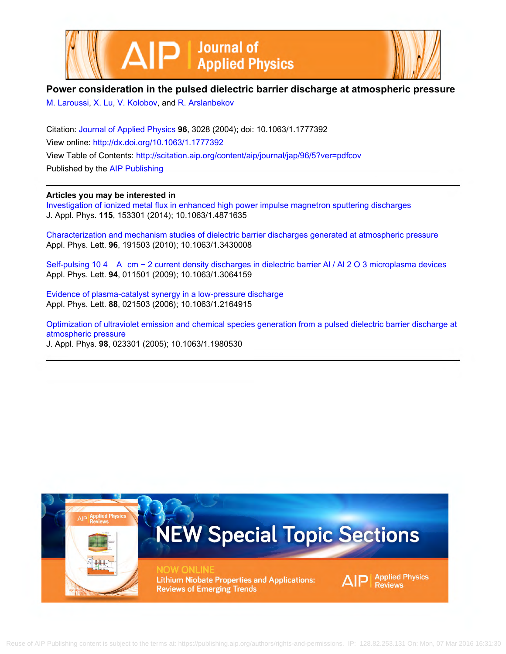



## **Power consideration in the pulsed dielectric barrier discharge at atmospheric pressure**

[M. Laroussi,](http://scitation.aip.org/search?value1=M.+Laroussi&option1=author) [X. Lu,](http://scitation.aip.org/search?value1=X.+Lu&option1=author) [V. Kolobov](http://scitation.aip.org/search?value1=V.+Kolobov&option1=author), and [R. Arslanbekov](http://scitation.aip.org/search?value1=R.+Arslanbekov&option1=author)

Citation: [Journal of Applied Physics](http://scitation.aip.org/content/aip/journal/jap?ver=pdfcov) **96**, 3028 (2004); doi: 10.1063/1.1777392 View online: <http://dx.doi.org/10.1063/1.1777392> View Table of Contents: <http://scitation.aip.org/content/aip/journal/jap/96/5?ver=pdfcov> Published by the [AIP Publishing](http://scitation.aip.org/content/aip?ver=pdfcov)

## **Articles you may be interested in**

[Investigation of ionized metal flux in enhanced high power impulse magnetron sputtering discharges](http://scitation.aip.org/content/aip/journal/jap/115/15/10.1063/1.4871635?ver=pdfcov) J. Appl. Phys. **115**, 153301 (2014); 10.1063/1.4871635

[Characterization and mechanism studies of dielectric barrier discharges generated at atmospheric pressure](http://scitation.aip.org/content/aip/journal/apl/96/19/10.1063/1.3430008?ver=pdfcov) Appl. Phys. Lett. **96**, 191503 (2010); 10.1063/1.3430008

Self-pulsing 10 4 A cm − 2 current density discharges in dielectric barrier Al / Al 2 O 3 microplasma devices Appl. Phys. Lett. **94**, 011501 (2009); 10.1063/1.3064159

[Evidence of plasma-catalyst synergy in a low-pressure discharge](http://scitation.aip.org/content/aip/journal/apl/88/2/10.1063/1.2164915?ver=pdfcov) Appl. Phys. Lett. **88**, 021503 (2006); 10.1063/1.2164915

[Optimization of ultraviolet emission and chemical species generation from a pulsed dielectric barrier discharge at](http://scitation.aip.org/content/aip/journal/jap/98/2/10.1063/1.1980530?ver=pdfcov) [atmospheric pressure](http://scitation.aip.org/content/aip/journal/jap/98/2/10.1063/1.1980530?ver=pdfcov)

J. Appl. Phys. **98**, 023301 (2005); 10.1063/1.1980530

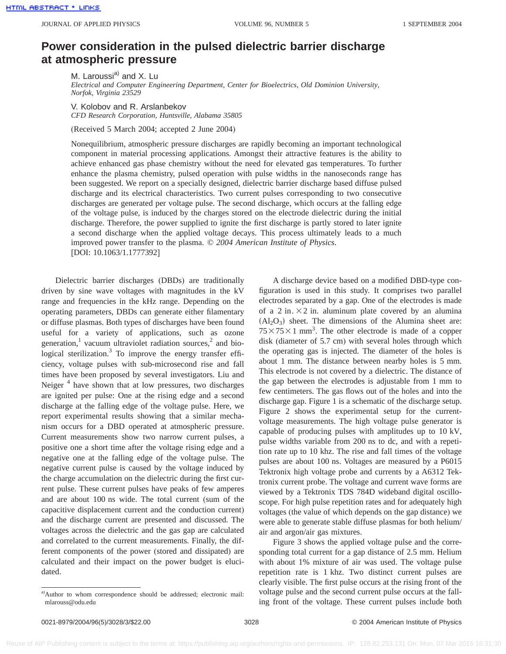## **Power consideration in the pulsed dielectric barrier discharge at atmospheric pressure**

M. Laroussi<sup>a)</sup> and X. Lu

*Electrical and Computer Engineering Department, Center for Bioelectrics, Old Dominion University, Norfok, Virginia 23529*

V. Kolobov and R. Arslanbekov *CFD Research Corporation, Huntsville, Alabama 35805*

(Received 5 March 2004; accepted 2 June 2004)

Nonequilibrium, atmospheric pressure discharges are rapidly becoming an important technological component in material processing applications. Amongst their attractive features is the ability to achieve enhanced gas phase chemistry without the need for elevated gas temperatures. To further enhance the plasma chemistry, pulsed operation with pulse widths in the nanoseconds range has been suggested. We report on a specially designed, dielectric barrier discharge based diffuse pulsed discharge and its electrical characteristics. Two current pulses corresponding to two consecutive discharges are generated per voltage pulse. The second discharge, which occurs at the falling edge of the voltage pulse, is induced by the charges stored on the electrode dielectric during the initial discharge. Therefore, the power supplied to ignite the first discharge is partly stored to later ignite a second discharge when the applied voltage decays. This process ultimately leads to a much improved power transfer to the plasma. © *2004 American Institute of Physics*. [DOI: 10.1063/1.1777392]

Dielectric barrier discharges (DBDs) are traditionally driven by sine wave voltages with magnitudes in the kV range and frequencies in the kHz range. Depending on the operating parameters, DBDs can generate either filamentary or diffuse plasmas. Both types of discharges have been found useful for a variety of applications, such as ozone generation,<sup>1</sup> vacuum ultraviolet radiation sources,<sup>2</sup> and biological sterilization.<sup>3</sup> To improve the energy transfer efficiency, voltage pulses with sub-microsecond rise and fall times have been proposed by several investigators. Liu and Neiger<sup>4</sup> have shown that at low pressures, two discharges are ignited per pulse: One at the rising edge and a second discharge at the falling edge of the voltage pulse. Here, we report experimental results showing that a similar mechanism occurs for a DBD operated at atmospheric pressure. Current measurements show two narrow current pulses, a positive one a short time after the voltage rising edge and a negative one at the falling edge of the voltage pulse. The negative current pulse is caused by the voltage induced by the charge accumulation on the dielectric during the first current pulse. These current pulses have peaks of few amperes and are about 100 ns wide. The total current (sum of the capacitive displacement current and the conduction current) and the discharge current are presented and discussed. The voltages across the dielectric and the gas gap are calculated and correlated to the current measurements. Finally, the different components of the power (stored and dissipated) are calculated and their impact on the power budget is elucidated.

A discharge device based on a modified DBD-type configuration is used in this study. It comprises two parallel electrodes separated by a gap. One of the electrodes is made of a 2 in.  $\times$  2 in. aluminum plate covered by an alumina  $(Al<sub>2</sub>O<sub>3</sub>)$  sheet. The dimensions of the Alumina sheet are:  $75 \times 75 \times 1$  mm<sup>3</sup>. The other electrode is made of a copper disk (diameter of 5.7 cm) with several holes through which the operating gas is injected. The diameter of the holes is about 1 mm. The distance between nearby holes is 5 mm. This electrode is not covered by a dielectric. The distance of the gap between the electrodes is adjustable from 1 mm to few centimeters. The gas flows out of the holes and into the discharge gap. Figure 1 is a schematic of the discharge setup. Figure 2 shows the experimental setup for the currentvoltage measurements. The high voltage pulse generator is capable of producing pulses with amplitudes up to 10 kV, pulse widths variable from 200 ns to dc, and with a repetition rate up to 10 khz. The rise and fall times of the voltage pulses are about 100 ns. Voltages are measured by a P6015 Tektronix high voltage probe and currents by a A6312 Tektronix current probe. The voltage and current wave forms are viewed by a Tektronix TDS 784D wideband digital oscilloscope. For high pulse repetition rates and for adequately high voltages (the value of which depends on the gap distance) we were able to generate stable diffuse plasmas for both helium/ air and argon/air gas mixtures.

Figure 3 shows the applied voltage pulse and the corresponding total current for a gap distance of 2.5 mm. Helium with about 1% mixture of air was used. The voltage pulse repetition rate is 1 khz. Two distinct current pulses are clearly visible. The first pulse occurs at the rising front of the voltage pulse and the second current pulse occurs at the falling front of the voltage. These current pulses include both

a)Author to whom correspondence should be addressed; electronic mail: mlarouss@odu.edu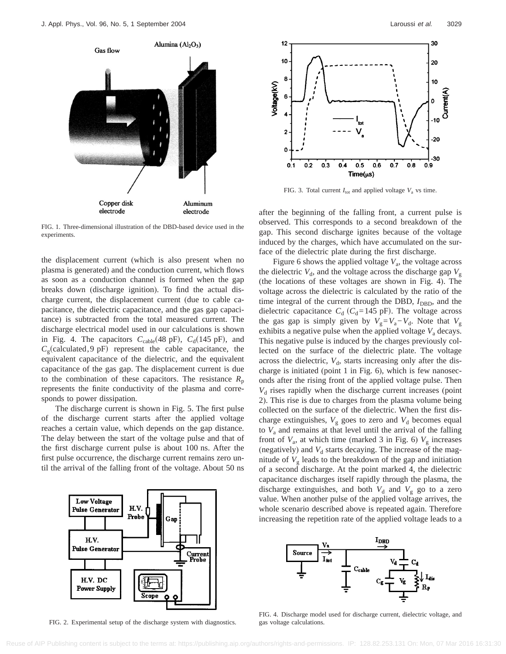

FIG. 1. Three-dimensional illustration of the DBD-based device used in the experiments.

the displacement current (which is also present when no plasma is generated) and the conduction current, which flows as soon as a conduction channel is formed when the gap breaks down (discharge ignition). To find the actual discharge current, the displacement current (due to cable capacitance, the dielectric capacitance, and the gas gap capacitance) is subtracted from the total measured current. The discharge electrical model used in our calculations is shown in Fig. 4. The capacitors  $C_{\text{cable}}(48 \text{ pF})$ ,  $C_{\text{d}}(145 \text{ pF})$ , and  $C_g$ (calculated, 9 pF) represent the cable capacitance, the equivalent capacitance of the dielectric, and the equivalent capacitance of the gas gap. The displacement current is due to the combination of these capacitors. The resistance  $R_p$ represents the finite conductivity of the plasma and corresponds to power dissipation.

The discharge current is shown in Fig. 5. The first pulse of the discharge current starts after the applied voltage reaches a certain value, which depends on the gap distance. The delay between the start of the voltage pulse and that of the first discharge current pulse is about 100 ns. After the first pulse occurrence, the discharge current remains zero until the arrival of the falling front of the voltage. About 50 ns



FIG. 2. Experimental setup of the discharge system with diagnostics.



FIG. 3. Total current  $I_{\text{tot}}$  and applied voltage  $V_{\text{a}}$  vs time.

after the beginning of the falling front, a current pulse is observed. This corresponds to a second breakdown of the gap. This second discharge ignites because of the voltage induced by the charges, which have accumulated on the surface of the dielectric plate during the first discharge.

Figure 6 shows the applied voltage  $V_a$ , the voltage across the dielectric  $V_d$ , and the voltage across the discharge gap  $V_g$ (the locations of these voltages are shown in Fig. 4). The voltage across the dielectric is calculated by the ratio of the time integral of the current through the DBD,  $I_{\text{DBD}}$ , and the dielectric capacitance  $C_d$  ( $C_d$ =145 pF). The voltage across the gas gap is simply given by  $V_g = V_a - V_d$ . Note that  $V_g$ exhibits a negative pulse when the applied voltage  $V_a$  decays. This negative pulse is induced by the charges previously collected on the surface of the dielectric plate. The voltage across the dielectric,  $V<sub>d</sub>$ , starts increasing only after the discharge is initiated (point 1 in Fig. 6), which is few nanoseconds after the rising front of the applied voltage pulse. Then  $V<sub>d</sub>$  rises rapidly when the discharge current increases (point 2). This rise is due to charges from the plasma volume being collected on the surface of the dielectric. When the first discharge extinguishes,  $V_g$  goes to zero and  $V_d$  becomes equal to  $V_a$  and remains at that level until the arrival of the falling front of  $V_a$ , at which time (marked 3 in Fig. 6)  $V_g$  increases (negatively) and  $V<sub>d</sub>$  starts decaying. The increase of the magnitude of  $V_{\alpha}$  leads to the breakdown of the gap and initiation of a second discharge. At the point marked 4, the dielectric capacitance discharges itself rapidly through the plasma, the discharge extinguishes, and both  $V_d$  and  $V_g$  go to a zero value. When another pulse of the applied voltage arrives, the whole scenario described above is repeated again. Therefore increasing the repetition rate of the applied voltage leads to a



FIG. 4. Discharge model used for discharge current, dielectric voltage, and gas voltage calculations.

Reuse of AIP Publishing content is subject to the terms at: https://publishing.aip.org/authors/rights-and-permissions. IP: 128.82.253.131 On: Mon, 07 Mar 2016 16:31:30